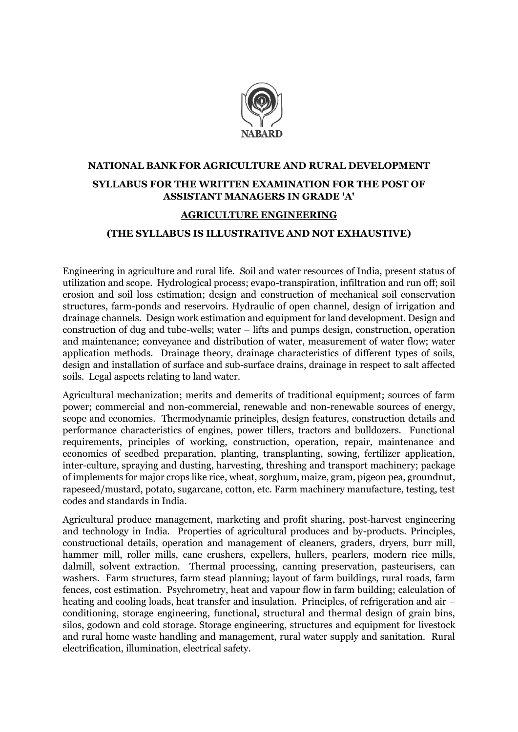

### **NATIONAL BANK FOR AGRICULTURE AND RURAL DEVELOPMENT SYLLABUS FOR THE WRITTEN EXAMINATION FOR THE POST OF ASSISTANT MANAGERS IN GRADE 'A'**

#### **AGRICULTURE ENGINEERING**

#### **(THE SYLLABUS IS ILLUSTRATIVE AND NOT EXHAUSTIVE)**

Engineering in agriculture and rural life. Soil and water resources of India, present status of utilization and scope. Hydrological process; evapo-transpiration, infiltration and run off; soil erosion and soil loss estimation; design and construction of mechanical soil conservation structures, farm-ponds and reservoirs. Hydraulic of open channel, design of irrigation and drainage channels. Design work estimation and equipment for land development. Design and construction of dug and tube-wells; water – lifts and pumps design, construction, operation and maintenance; conveyance and distribution of water, measurement of water flow; water application methods. Drainage theory, drainage characteristics of different types of soils, design and installation of surface and sub-surface drains, drainage in respect to salt affected soils. Legal aspects relating to land water.

Agricultural mechanization; merits and demerits of traditional equipment; sources of farm power; commercial and non-commercial, renewable and non-renewable sources of energy, scope and economics. Thermodynamic principles, design features, construction details and performance characteristics of engines, power tillers, tractors and bulldozers. Functional requirements, principles of working, construction, operation, repair, maintenance and economics of seedbed preparation, planting, transplanting, sowing, fertilizer application, inter-culture, spraying and dusting, harvesting, threshing and transport machinery; package of implements for major crops like rice, wheat, sorghum, maize, gram, pigeon pea, groundnut, rapeseed/mustard, potato, sugarcane, cotton, etc. Farm machinery manufacture, testing, test codes and standards in India.

Agricultural produce management, marketing and profit sharing, post-harvest engineering and technology in India. Properties of agricultural produces and by-products. Principles, constructional details, operation and management of cleaners, graders, dryers, burr mill, hammer mill, roller mills, cane crushers, expellers, hullers, pearlers, modern rice mills, dalmill, solvent extraction. Thermal processing, canning preservation, pasteurisers, can washers. Farm structures, farm stead planning; layout of farm buildings, rural roads, farm fences, cost estimation. Psychrometry, heat and vapour flow in farm building; calculation of heating and cooling loads, heat transfer and insulation. Principles, of refrigeration and air – conditioning, storage engineering, functional, structural and thermal design of grain bins, silos, godown and cold storage. Storage engineering, structures and equipment for livestock and rural home waste handling and management, rural water supply and sanitation. Rural electrification, illumination, electrical safety.